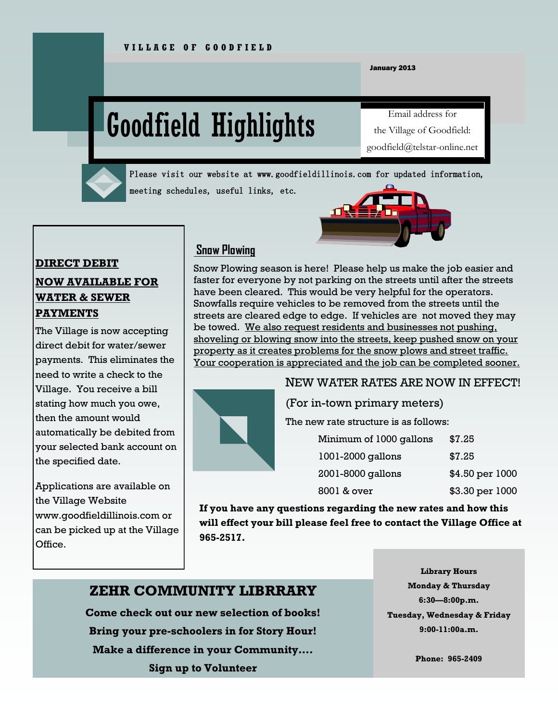January 2013

# Goodfield Highlights

Email address for the Village of Goodfield: goodfield@telstar-online.net



Please visit our website at www.goodfieldillinois.com for updated information, meeting schedules, useful links, etc.

#### **DIRECT DEBIT**

#### **NOW AVAILABLE FOR WATER & SEWER PAYMENTS**

The Village is now accepting direct debit for water/sewer payments. This eliminates the need to write a check to the Village. You receive a bill stating how much you owe, then the amount would automatically be debited from your selected bank account on the specified date.

Applications are available on the Village Website www.goodfieldillinois.com or can be picked up at the Village Office.

#### **Snow Plowing**

Snow Plowing season is here! Please help us make the job easier and faster for everyone by not parking on the streets until after the streets have been cleared. This would be very helpful for the operators. Snowfalls require vehicles to be removed from the streets until the streets are cleared edge to edge. If vehicles are not moved they may be towed. We also request residents and businesses not pushing, shoveling or blowing snow into the streets, keep pushed snow on your property as it creates problems for the snow plows and street traffic. Your cooperation is appreciated and the job can be completed sooner.





The new rate structure is as follows:

| Minimum of 1000 gallons | \$7.25          |
|-------------------------|-----------------|
| 1001-2000 gallons       | \$7.25          |
| 2001-8000 gallons       | \$4.50 per 1000 |
| 8001 & over             | \$3.30 per 1000 |

**If you have any questions regarding the new rates and how this will effect your bill please feel free to contact the Village Office at 965-2517.**

#### **ZEHR COMMUNITY LIBRRARY**

**Come check out our new selection of books! Bring your pre-schoolers in for Story Hour! Make a difference in your Community…. Sign up to Volunteer**

**Library Hours Monday & Thursday 6:30—8:00p.m. Tuesday, Wednesday & Friday 9:00-11:00a.m.**

**Phone: 965-2409**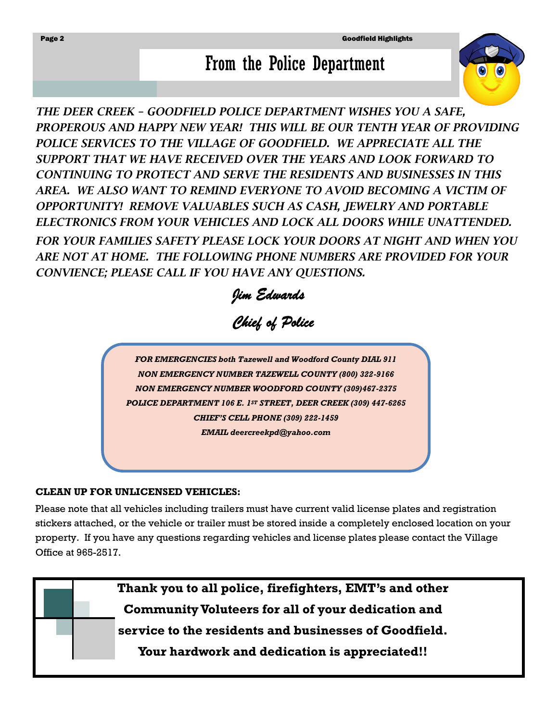# From the Police Department

*THE DEER CREEK – GOODFIELD POLICE DEPARTMENT WISHES YOU A SAFE, PROPEROUS AND HAPPY NEW YEAR! THIS WILL BE OUR TENTH YEAR OF PROVIDING*  POLICE SERVICES TO THE VILLAGE OF GOODFIELD. WE APPRECIATE ALL THE *SUPPORT THAT WE HAVE RECEIVED OVER THE YEARS AND LOOK FORWARD TO CONTINUING TO PROTECT AND SERVE THE RESIDENTS AND BUSINESSES IN THIS*  AREA. WE ALSO WANT TO REMIND EVERYONE TO AVOID BECOMING A VICTIM OF *OPPORTUNITY! REMOVE VALUABLES SUCH AS CASH, JEWELRY AND PORTABLE ELECTRONICS FROM YOUR VEHICLES AND LOCK ALL DOORS WHILE UNATTENDED. FOR YOUR FAMILIES SAFETY PLEASE LOCK YOUR DOORS AT NIGHT AND WHEN YOU ARE NOT AT HOME. THE FOLLOWING PHONE NUMBERS ARE PROVIDED FOR YOUR CONVIENCE; PLEASE CALL IF YOU HAVE ANY QUESTIONS.*

*Jim Edwards* 

### *Chief of Police*

*FOR EMERGENCIES both Tazewell and Woodford County DIAL 911 NON EMERGENCY NUMBER TAZEWELL COUNTY (800) 322-9166 NON EMERGENCY NUMBER WOODFORD COUNTY (309)467-2375 POLICE DEPARTMENT 106 E. 1ST STREET, DEER CREEK (309) 447-6265 CHIEF'S CELL PHONE (309) 222-1459 EMAIL deercreekpd@yahoo.com*

#### **CLEAN UP FOR UNLICENSED VEHICLES:**

Please note that all vehicles including trailers must have current valid license plates and registration stickers attached, or the vehicle or trailer must be stored inside a completely enclosed location on your property. If you have any questions regarding vehicles and license plates please contact the Village Office at 965-2517.

> **Thank you to all police, firefighters, EMT's and other Community Voluteers for all of your dedication and service to the residents and businesses of Goodfield.**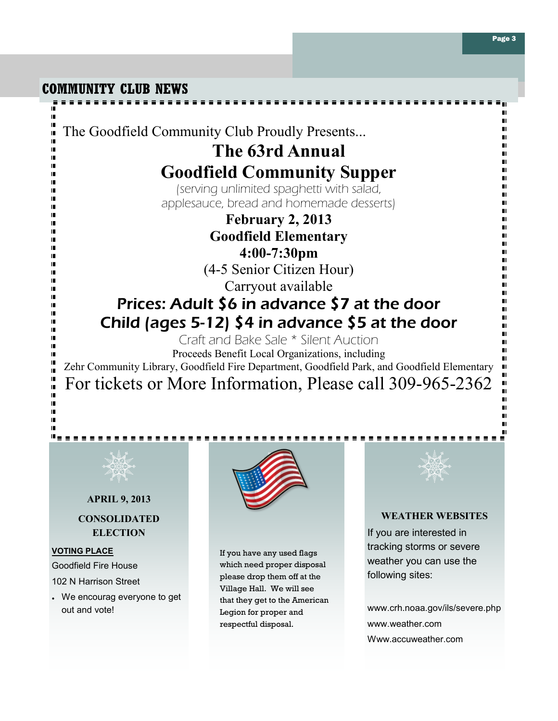**COMMUNITY CLUB NEWS**

IF.

ī

I. IF. ш IF. m

I. II. m

IF. Ш I.

Ш

m

Ш Ш

I. Ш ш IF. Ш IT. I. I. I. I. IF. Ш m Ш IF. Ш ī.

The Goodfield Community Club Proudly Presents...

### **The 63rd Annual Goodfield Community Supper**

(serving unlimited spaghetti with salad, applesauce, bread and homemade desserts)

> **February 2, 2013 Goodfield Elementary 4:00-7:30pm** (4-5 Senior Citizen Hour) Carryout available

## Prices: Adult \$6 in advance \$7 at the door Child (ages 5-12) \$4 in advance \$5 at the door

Craft and Bake Sale \* Silent Auction

Proceeds Benefit Local Organizations, including Zehr Community Library, Goodfield Fire Department, Goodfield Park, and Goodfield Elementary For tickets or More Information, Please call 309-965-2362



#### **APRIL 9, 2013**

#### **CONSOLIDATED ELECTION**

#### **VOTING PLACE**

<u> "e e e e e</u>

Goodfield Fire House 102 N Harrison Street

• We encourag everyone to get out and vote!



If you have any used flags which need proper disposal please drop them off at the Village Hall. We will see that they get to the American Legion for proper and respectful disposal.



 $\blacksquare$ 

#### **WEATHER WEBSITES**

If you are interested in tracking storms or severe weather you can use the following sites:

www.crh.noaa.gov/ils/severe.php www.weather.com Www.accuweather.com

 $\blacksquare$ 

 $\blacksquare$ 

 $\blacksquare$ 

 $\blacksquare$ 

 $\blacksquare$ 

 $\blacksquare$ 

п

п